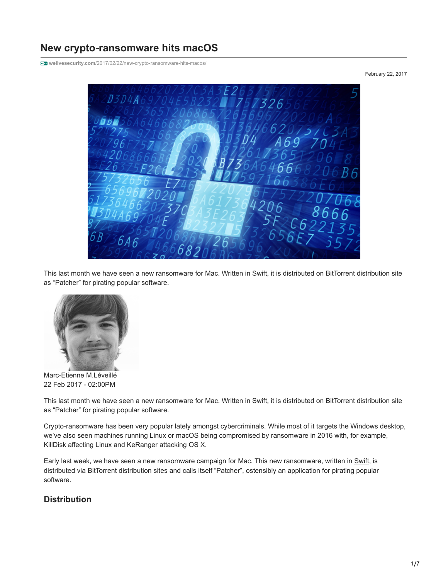# **New crypto**‑**ransomware hits macOS**

**welivesecurity.com**[/2017/02/22/new-crypto-ransomware-hits-macos/](http://www.welivesecurity.com/2017/02/22/new-crypto-ransomware-hits-macos/)

February 22, 2017



This last month we have seen a new ransomware for Mac. Written in Swift, it is distributed on BitTorrent distribution site as "Patcher" for pirating popular software.



[Marc-Etienne M.Léveillé](https://www.welivesecurity.com/author/marc-etienne/) 22 Feb 2017 - 02:00PM

This last month we have seen a new ransomware for Mac. Written in Swift, it is distributed on BitTorrent distribution site as "Patcher" for pirating popular software.

Crypto-ransomware has been very popular lately amongst cybercriminals. While most of it targets the Windows desktop, we've also seen machines running Linux or macOS being compromised by ransomware in 2016 with, for example, [KillDisk](http://www.welivesecurity.com/2017/01/05/killdisk-now-targeting-linux-demands-250k-ransom-cant-decrypt/) affecting Linux and [KeRanger](http://researchcenter.paloaltonetworks.com/2016/03/new-os-x-ransomware-keranger-infected-transmission-bittorrent-client-installer/) attacking OS X.

Early last week, we have seen a new ransomware campaign for Mac. This new ransomware, written in [Swift,](https://developer.apple.com/swift/) is distributed via BitTorrent distribution sites and calls itself "Patcher", ostensibly an application for pirating popular software.

## **Distribution**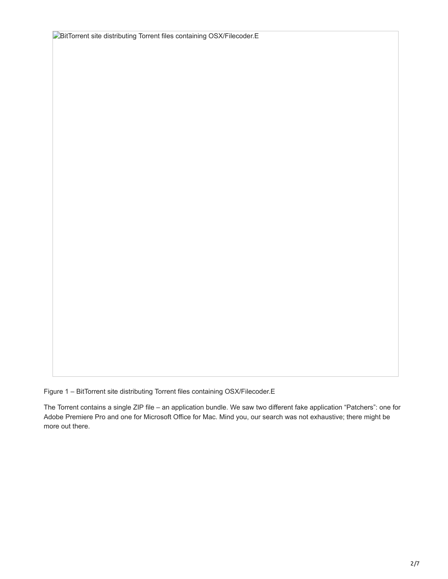**BitTorrent site distributing Torrent files containing OSX/Filecoder.E** 

Figure 1 – BitTorrent site distributing Torrent files containing OSX/Filecoder.E

The Torrent contains a single ZIP file – an application bundle. We saw two different fake application "Patchers": one for Adobe Premiere Pro and one for Microsoft Office for Mac. Mind you, our search was not exhaustive; there might be more out there.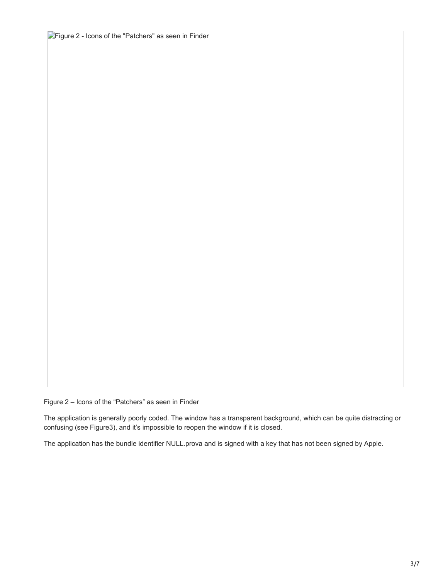**Figure 2 - Icons of the "Patchers" as seen in Finder** 

Figure 2 – Icons of the "Patchers" as seen in Finder

The application is generally poorly coded. The window has a transparent background, which can be quite distracting or confusing (see Figure3), and it's impossible to reopen the window if it is closed.

The application has the bundle identifier NULL.prova and is signed with a key that has not been signed by Apple.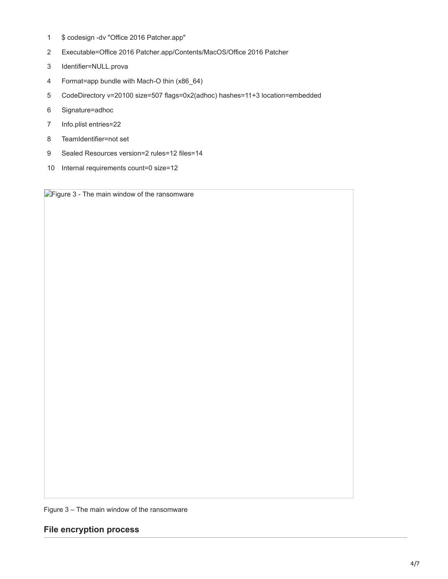- 1 \$ codesign -dv "Office 2016 Patcher.app"
- 2 Executable=Office 2016 Patcher.app/Contents/MacOS/Office 2016 Patcher
- 3 Identifier=NULL.prova
- 4 Format=app bundle with Mach-O thin (x86\_64)
- 5 CodeDirectory v=20100 size=507 flags=0x2(adhoc) hashes=11+3 location=embedded
- 6 Signature=adhoc
- 7 Info.plist entries=22
- 8 TeamIdentifier=not set
- 9 Sealed Resources version=2 rules=12 files=14
- 10 Internal requirements count=0 size=12

**Figure 3 - The main window of the ransomware** 

Figure 3 – The main window of the ransomware

**File encryption process**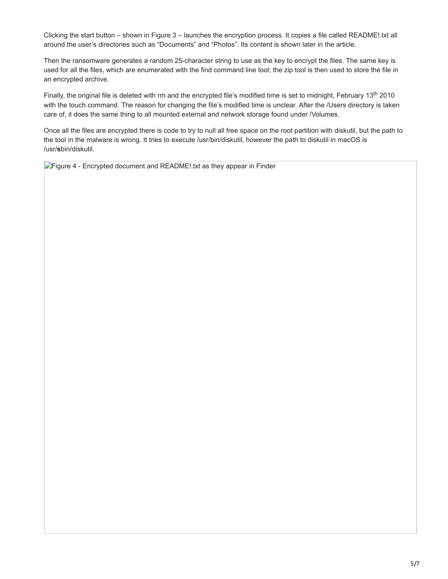Clicking the start button – shown in Figure 3 – launches the encryption process. It copies a file called README!.txt all around the user's directories such as "Documents" and "Photos". Its content is shown later in the article.

Then the ransomware generates a random 25-character string to use as the key to encrypt the files. The same key is used for all the files, which are enumerated with the find command line tool; the zip tool is then used to store the file in an encrypted archive.

Finally, the original file is deleted with rm and the encrypted file's modified time is set to midnight, February 13<sup>th</sup> 2010 with the touch command. The reason for changing the file's modified time is unclear. After the /Users directory is taken care of, it does the same thing to all mounted external and network storage found under /Volumes.

Once all the files are encrypted there is code to try to null all free space on the root partition with diskutil, but the path to the tool in the malware is wrong. It tries to execute /usr/bin/diskutil, however the path to diskutil in macOS is /usr/**s**bin/diskutil.

**Figure 4 - Encrypted document and README!** txt as they appear in Finder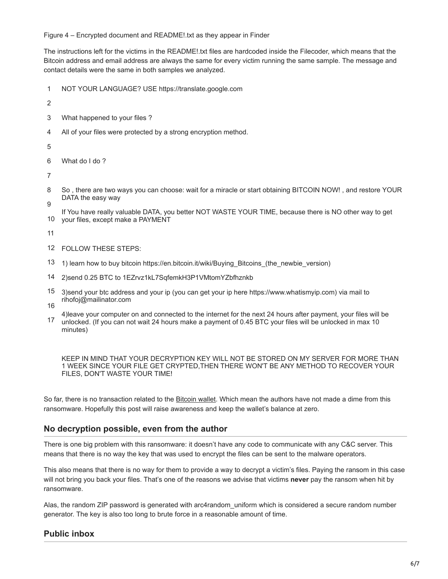Figure 4 – Encrypted document and README!.txt as they appear in Finder

The instructions left for the victims in the README!.txt files are hardcoded inside the Filecoder, which means that the Bitcoin address and email address are always the same for every victim running the same sample. The message and contact details were the same in both samples we analyzed.

- 1 NOT YOUR LANGUAGE? USE https://translate.google.com
- 2
- 3 What happened to your files ?
- 4 All of your files were protected by a strong encryption method.

5

6 What do I do ?

7

- 8 9 So , there are two ways you can choose: wait for a miracle or start obtaining BITCOIN NOW! , and restore YOUR DATA the easy way
- 10 If You have really valuable DATA, you better NOT WASTE YOUR TIME, because there is NO other way to get your files, except make a PAYMENT

11

- 12 FOLLOW THESE STEPS:
- 13 1) learn how to buy bitcoin https://en.bitcoin.it/wiki/Buying\_Bitcoins\_(the\_newbie\_version)
- 14 2)send 0.25 BTC to 1EZrvz1kL7SqfemkH3P1VMtomYZbfhznkb
- 15 3)send your btc address and your ip (you can get your ip here https://www.whatismyip.com) via mail to rihofoj@mailinator.com
- 16
- 17 4)leave your computer on and connected to the internet for the next 24 hours after payment, your files will be unlocked. (If you can not wait 24 hours make a payment of 0.45 BTC your files will be unlocked in max 10 minutes)

KEEP IN MIND THAT YOUR DECRYPTION KEY WILL NOT BE STORED ON MY SERVER FOR MORE THAN 1 WEEK SINCE YOUR FILE GET CRYPTED,THEN THERE WON'T BE ANY METHOD TO RECOVER YOUR FILES, DON'T WASTE YOUR TIME!

So far, there is no transaction related to the [Bitcoin wallet.](https://blockchain.info/address/1EZrvz1kL7SqfemkH3P1VMtomYZbfhznkb) Which mean the authors have not made a dime from this ransomware. Hopefully this post will raise awareness and keep the wallet's balance at zero.

## **No decryption possible, even from the author**

There is one big problem with this ransomware: it doesn't have any code to communicate with any C&C server. This means that there is no way the key that was used to encrypt the files can be sent to the malware operators.

This also means that there is no way for them to provide a way to decrypt a victim's files. Paying the ransom in this case will not bring you back your files. That's one of the reasons we advise that victims **never** pay the ransom when hit by ransomware.

Alas, the random ZIP password is generated with arc4random uniform which is considered a secure random number generator. The key is also too long to brute force in a reasonable amount of time.

## **Public inbox**